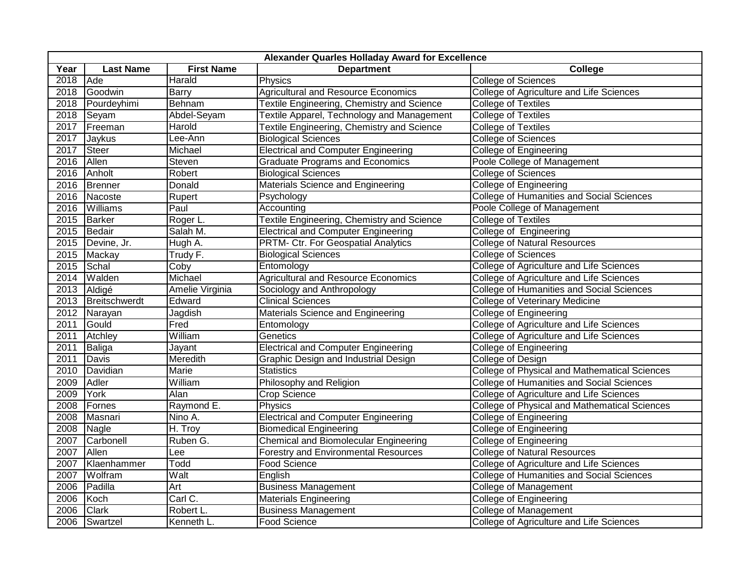| Alexander Quarles Holladay Award for Excellence |                  |                   |                                                   |                                                  |  |  |  |
|-------------------------------------------------|------------------|-------------------|---------------------------------------------------|--------------------------------------------------|--|--|--|
| Year                                            | <b>Last Name</b> | <b>First Name</b> | <b>Department</b>                                 | College                                          |  |  |  |
| 2018                                            | Ade              | Harald            | Physics                                           | <b>College of Sciences</b>                       |  |  |  |
| 2018                                            | Goodwin          | <b>Barry</b>      | <b>Agricultural and Resource Economics</b>        | College of Agriculture and Life Sciences         |  |  |  |
| 2018                                            | Pourdeyhimi      | Behnam            | <b>Textile Engineering, Chemistry and Science</b> | <b>College of Textiles</b>                       |  |  |  |
| 2018                                            | Seyam            | Abdel-Seyam       | Textile Apparel, Technology and Management        | <b>College of Textiles</b>                       |  |  |  |
| 2017                                            | Freeman          | Harold            | Textile Engineering, Chemistry and Science        | <b>College of Textiles</b>                       |  |  |  |
| 2017                                            | Jaykus           | Lee-Ann           | <b>Biological Sciences</b>                        | <b>College of Sciences</b>                       |  |  |  |
| 2017                                            | <b>Steer</b>     | Michael           | <b>Electrical and Computer Engineering</b>        | <b>College of Engineering</b>                    |  |  |  |
| 2016                                            | Allen            | Steven            | <b>Graduate Programs and Economics</b>            | Poole College of Management                      |  |  |  |
| 2016                                            | Anholt           | Robert            | <b>Biological Sciences</b>                        | <b>College of Sciences</b>                       |  |  |  |
| 2016                                            | Brenner          | Donald            | Materials Science and Engineering                 | <b>College of Engineering</b>                    |  |  |  |
|                                                 | 2016 Nacoste     | Rupert            | Psychology                                        | <b>College of Humanities and Social Sciences</b> |  |  |  |
| 2016                                            | Williams         | Paul              | Accounting                                        | Poole College of Management                      |  |  |  |
| 2015                                            | <b>Barker</b>    | Roger L.          | Textile Engineering, Chemistry and Science        | <b>College of Textiles</b>                       |  |  |  |
| 2015                                            | Bedair           | Salah M.          | <b>Electrical and Computer Engineering</b>        | College of Engineering                           |  |  |  |
| 2015                                            | Devine, Jr.      | Hugh A.           | <b>PRTM- Ctr. For Geospatial Analytics</b>        | <b>College of Natural Resources</b>              |  |  |  |
| 2015                                            | Mackay           | Trudy F.          | <b>Biological Sciences</b>                        | <b>College of Sciences</b>                       |  |  |  |
| 2015                                            | Schal            | Coby              | Entomology                                        | College of Agriculture and Life Sciences         |  |  |  |
| 2014                                            | Walden           | Michael           | <b>Agricultural and Resource Economics</b>        | College of Agriculture and Life Sciences         |  |  |  |
| 2013                                            | Aldigé           | Amelie Virginia   | Sociology and Anthropology                        | <b>College of Humanities and Social Sciences</b> |  |  |  |
| 2013                                            | Breitschwerdt    | Edward            | <b>Clinical Sciences</b>                          | <b>College of Veterinary Medicine</b>            |  |  |  |
| 2012                                            | Narayan          | Jagdish           | Materials Science and Engineering                 | College of Engineering                           |  |  |  |
| 2011                                            | Gould            | Fred              | Entomology                                        | College of Agriculture and Life Sciences         |  |  |  |
| 2011                                            | Atchley          | William           | Genetics                                          | College of Agriculture and Life Sciences         |  |  |  |
| 2011                                            | <b>Baliga</b>    | Jayant            | <b>Electrical and Computer Engineering</b>        | <b>College of Engineering</b>                    |  |  |  |
| 2011                                            | Davis            | Meredith          | Graphic Design and Industrial Design              | College of Design                                |  |  |  |
| 2010                                            | Davidian         | Marie             | <b>Statistics</b>                                 | College of Physical and Mathematical Sciences    |  |  |  |
| 2009                                            | Adler            | William           | Philosophy and Religion                           | <b>College of Humanities and Social Sciences</b> |  |  |  |
| 2009                                            | York             | Alan              | <b>Crop Science</b>                               | College of Agriculture and Life Sciences         |  |  |  |
| 2008                                            | Fornes           | Raymond E.        | Physics                                           | College of Physical and Mathematical Sciences    |  |  |  |
| 2008                                            | Masnari          | Nino A.           | <b>Electrical and Computer Engineering</b>        | <b>College of Engineering</b>                    |  |  |  |
| 2008                                            | Nagle            | $H.$ Troy         | <b>Biomedical Engineering</b>                     | College of Engineering                           |  |  |  |
| 2007                                            | Carbonell        | Ruben G.          | <b>Chemical and Biomolecular Engineering</b>      | College of Engineering                           |  |  |  |
| 2007                                            | Allen            | Lee               | <b>Forestry and Environmental Resources</b>       | <b>College of Natural Resources</b>              |  |  |  |
| 2007                                            | Klaenhammer      | Todd              | Food Science                                      | College of Agriculture and Life Sciences         |  |  |  |
| 2007                                            | Wolfram          | Walt              | English                                           | College of Humanities and Social Sciences        |  |  |  |
| 2006                                            | Padilla          | Art               | <b>Business Management</b>                        | <b>College of Management</b>                     |  |  |  |
| 2006                                            | Koch             | Carl C.           | <b>Materials Engineering</b>                      | <b>College of Engineering</b>                    |  |  |  |
| 2006                                            | Clark            | Robert L.         | <b>Business Management</b>                        | <b>College of Management</b>                     |  |  |  |
| 2006                                            | Swartzel         | Kenneth L.        | <b>Food Science</b>                               | College of Agriculture and Life Sciences         |  |  |  |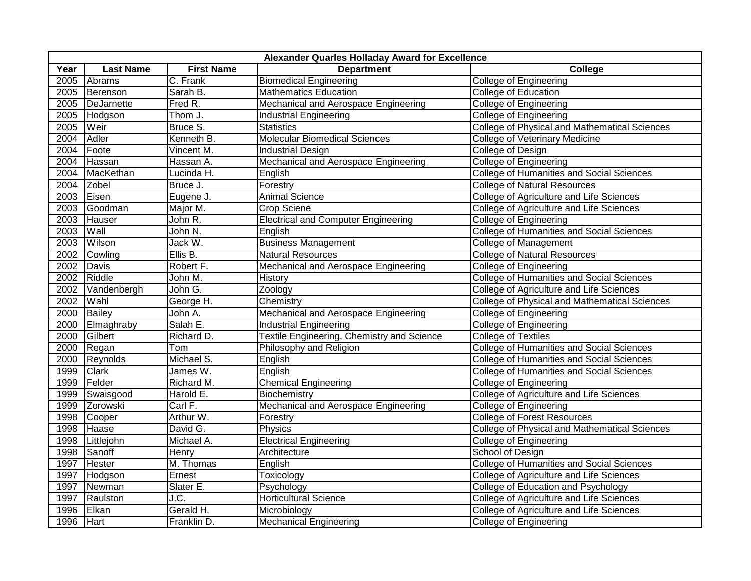| Alexander Quarles Holladay Award for Excellence |                  |                         |                                                   |                                                      |  |  |
|-------------------------------------------------|------------------|-------------------------|---------------------------------------------------|------------------------------------------------------|--|--|
| Year                                            | <b>Last Name</b> | <b>First Name</b>       | <b>Department</b>                                 | College                                              |  |  |
| 2005                                            | Abrams           | C. Frank                | <b>Biomedical Engineering</b>                     | <b>College of Engineering</b>                        |  |  |
| 2005                                            | Berenson         | Sarah B.                | <b>Mathematics Education</b>                      | College of Education                                 |  |  |
| 2005                                            | DeJarnette       | Fred R.                 | <b>Mechanical and Aerospace Engineering</b>       | <b>College of Engineering</b>                        |  |  |
| 2005                                            | Hodgson          | Thom J.                 | <b>Industrial Engineering</b>                     | <b>College of Engineering</b>                        |  |  |
| 2005                                            | Weir             | Bruce S.                | <b>Statistics</b>                                 | <b>College of Physical and Mathematical Sciences</b> |  |  |
| 2004                                            | Adler            | Kenneth B.              | <b>Molecular Biomedical Sciences</b>              | College of Veterinary Medicine                       |  |  |
| 2004                                            | Foote            | Vincent M.              | <b>Industrial Design</b>                          | College of Design                                    |  |  |
| 2004                                            | Hassan           | Hassan A.               | Mechanical and Aerospace Engineering              | <b>College of Engineering</b>                        |  |  |
| 2004                                            | MacKethan        | Lucinda H.              | English                                           | College of Humanities and Social Sciences            |  |  |
| 2004                                            | Zobel            | Bruce J.                | Forestry                                          | <b>College of Natural Resources</b>                  |  |  |
| 2003                                            | Eisen            | Eugene J.               | <b>Animal Science</b>                             | College of Agriculture and Life Sciences             |  |  |
| 2003                                            | Goodman          | Major M.                | Crop Sciene                                       | College of Agriculture and Life Sciences             |  |  |
| 2003                                            | Hauser           | John R.                 | <b>Electrical and Computer Engineering</b>        | <b>College of Engineering</b>                        |  |  |
| 2003                                            | Wall             | John N.                 | English                                           | <b>College of Humanities and Social Sciences</b>     |  |  |
| 2003                                            | Wilson           | Jack W.                 | <b>Business Management</b>                        | College of Management                                |  |  |
| 2002                                            | Cowling          | $E$ llis B.             | <b>Natural Resources</b>                          | <b>College of Natural Resources</b>                  |  |  |
| 2002                                            | Davis            | Robert F.               | Mechanical and Aerospace Engineering              | <b>College of Engineering</b>                        |  |  |
| 2002                                            | Riddle           | John M.                 | <b>History</b>                                    | <b>College of Humanities and Social Sciences</b>     |  |  |
| 2002                                            | Vandenbergh      | John G.                 | Zoology                                           | College of Agriculture and Life Sciences             |  |  |
| 2002                                            | Wahl             | George H.               | Chemistry                                         | College of Physical and Mathematical Sciences        |  |  |
| 2000                                            | Bailey           | John A.                 | Mechanical and Aerospace Engineering              | College of Engineering                               |  |  |
| 2000                                            | Elmaghraby       | Salah E.                | <b>Industrial Engineering</b>                     | <b>College of Engineering</b>                        |  |  |
| 2000                                            | Gilbert          | Richard D.              | <b>Textile Engineering, Chemistry and Science</b> | <b>College of Textiles</b>                           |  |  |
| 2000                                            | Regan            | Tom                     | Philosophy and Religion                           | <b>College of Humanities and Social Sciences</b>     |  |  |
| 2000                                            | Reynolds         | Michael S.              | English                                           | <b>College of Humanities and Social Sciences</b>     |  |  |
| 1999                                            | <b>Clark</b>     | James W.                | English                                           | College of Humanities and Social Sciences            |  |  |
| 1999                                            | Felder           | Richard M.              | <b>Chemical Engineering</b>                       | College of Engineering                               |  |  |
| 1999                                            | Swaisgood        | Harold E.               | Biochemistry                                      | College of Agriculture and Life Sciences             |  |  |
| 1999                                            | Zorowski         | Carl F.                 | Mechanical and Aerospace Engineering              | <b>College of Engineering</b>                        |  |  |
| 1998                                            | Cooper           | Arthur W.               | Forestry                                          | <b>College of Forest Resources</b>                   |  |  |
| 1998                                            | Haase            | David G.                | Physics                                           | College of Physical and Mathematical Sciences        |  |  |
| 1998                                            | Littlejohn       | Michael A.              | <b>Electrical Engineering</b>                     | <b>College of Engineering</b>                        |  |  |
| 1998                                            | Sanoff           | Henry                   | Architecture                                      | School of Design                                     |  |  |
| 1997                                            | <b>Hester</b>    | $\overline{M}$ . Thomas | English                                           | <b>College of Humanities and Social Sciences</b>     |  |  |
| 1997                                            | Hodgson          | Ernest                  | Toxicology                                        | College of Agriculture and Life Sciences             |  |  |
| 1997                                            | Newman           | Slater E.               | Psychology                                        | College of Education and Psychology                  |  |  |
| 1997                                            | Raulston         | J.C.                    | <b>Horticultural Science</b>                      | College of Agriculture and Life Sciences             |  |  |
| 1996                                            | Elkan            | Gerald H.               | Microbiology                                      | College of Agriculture and Life Sciences             |  |  |
| 1996                                            | <b>Hart</b>      | Franklin D.             | <b>Mechanical Engineering</b>                     | <b>College of Engineering</b>                        |  |  |